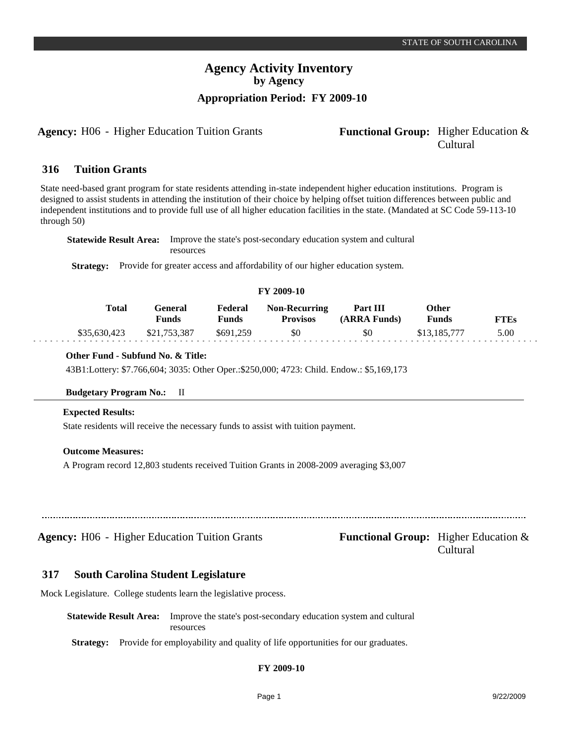### **Agency Activity Inventory by Agency Appropriation Period: FY 2009-10**

**Agency:** H06 - Higher Education Tuition Grants **- Functional Group:** Higher Education &

# Cultural

#### **Tuition Grants 316**

State need-based grant program for state residents attending in-state independent higher education institutions. Program is designed to assist students in attending the institution of their choice by helping offset tuition differences between public and independent institutions and to provide full use of all higher education facilities in the state. (Mandated at SC Code 59-113-10 through 50)

| <b>Statewide Result Area:</b> Improve the state's post-secondary education system and cultural |  |
|------------------------------------------------------------------------------------------------|--|
| resources                                                                                      |  |

**Strategy:** Provide for greater access and affordability of our higher education system.

### **FY 2009-10**

| Total        | General<br>Funds | Federal<br>Funds | <b>Non-Recurring</b><br><b>Provisos</b> | <b>Part III</b><br>(ARRA Funds) | Other<br>Funds | <b>FTEs</b> |
|--------------|------------------|------------------|-----------------------------------------|---------------------------------|----------------|-------------|
| \$35,630,423 | \$21,753,387     | \$691,259        | \$0                                     | \$0                             | \$13,185,777   | 5.00        |

### **Other Fund - Subfund No. & Title:**

43B1:Lottery: \$7.766,604; 3035: Other Oper.:\$250,000; 4723: Child. Endow.: \$5,169,173

### **Budgetary Program No.:** II

#### **Expected Results:**

dia dia dia 4

State residents will receive the necessary funds to assist with tuition payment.

### **Outcome Measures:**

A Program record 12,803 students received Tuition Grants in 2008-2009 averaging \$3,007

**Agency:** H06 - Higher Education Tuition Grants **- Functional Group:** Higher Education &

Cultural

#### **South Carolina Student Legislature 317**

Mock Legislature. College students learn the legislative process.

**Statewide Result Area:** Improve the state's post-secondary education system and cultural resources

**Strategy:** Provide for employability and quality of life opportunities for our graduates.

### **FY 2009-10**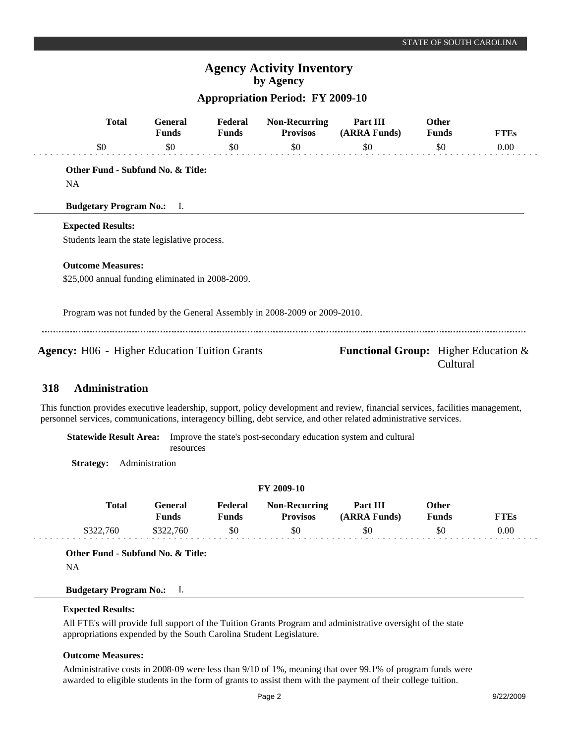### **Agency Activity Inventory by Agency**

### **Appropriation Period: FY 2009-10**

|     | <b>Total</b>                                                              | <b>General</b><br><b>Funds</b> | Federal<br><b>Funds</b> | <b>Non-Recurring</b><br><b>Provisos</b> | Part III<br>(ARRA Funds)                       | <b>Other</b><br><b>Funds</b> | <b>FTEs</b> |
|-----|---------------------------------------------------------------------------|--------------------------------|-------------------------|-----------------------------------------|------------------------------------------------|------------------------------|-------------|
|     | \$0                                                                       | \$0                            | \$0                     | \$0                                     | \$0                                            | \$0                          | 0.00        |
|     | Other Fund - Subfund No. & Title:                                         |                                |                         |                                         |                                                |                              |             |
|     | <b>NA</b>                                                                 |                                |                         |                                         |                                                |                              |             |
|     | <b>Budgetary Program No.:</b> I.                                          |                                |                         |                                         |                                                |                              |             |
|     | <b>Expected Results:</b>                                                  |                                |                         |                                         |                                                |                              |             |
|     | Students learn the state legislative process.                             |                                |                         |                                         |                                                |                              |             |
|     | <b>Outcome Measures:</b>                                                  |                                |                         |                                         |                                                |                              |             |
|     | \$25,000 annual funding eliminated in 2008-2009.                          |                                |                         |                                         |                                                |                              |             |
|     | Program was not funded by the General Assembly in 2008-2009 or 2009-2010. |                                |                         |                                         |                                                |                              |             |
|     | <b>Agency:</b> H06 - Higher Education Tuition Grants                      |                                |                         |                                         | <b>Functional Group:</b> Higher Education $\&$ | Cultural                     |             |
| 318 | <b>Administration</b>                                                     |                                |                         |                                         |                                                |                              |             |

### This function provides executive leadership, support, policy development and review, financial services, facilities management, personnel services, communications, interagency billing, debt service, and other related administrative services.

**Statewide Result Area:** Improve the state's post-secondary education system and cultural resources

**Strategy:** Administration

| <b>FY 2009-10</b> |           |                  |                  |                                  |                          |                |             |
|-------------------|-----------|------------------|------------------|----------------------------------|--------------------------|----------------|-------------|
|                   | Total     | General<br>Funds | Federal<br>Funds | Non-Recurring<br><b>Provisos</b> | Part III<br>(ARRA Funds) | Other<br>Funds | <b>FTEs</b> |
|                   | \$322,760 | \$322,760        | \$0              | \$0                              | \$0                      | \$0            | 0.00        |

**Other Fund - Subfund No. & Title:**

NA

### **Budgetary Program No.:** I.

#### **Expected Results:**

All FTE's will provide full support of the Tuition Grants Program and administrative oversight of the state appropriations expended by the South Carolina Student Legislature.

### **Outcome Measures:**

Administrative costs in 2008-09 were less than 9/10 of 1%, meaning that over 99.1% of program funds were awarded to eligible students in the form of grants to assist them with the payment of their college tuition.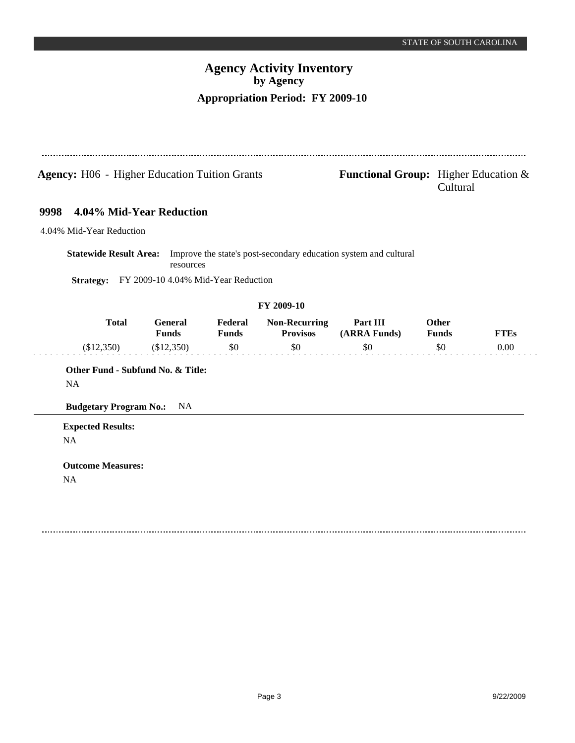# **Agency Activity Inventory by Agency Appropriation Period: FY 2009-10**

| <b>Agency:</b> H06 - Higher Education Tuition Grants |              |                                                  |                         | <b>Functional Group:</b> Higher Education $\&$ | Cultural                                                         |                       |             |
|------------------------------------------------------|--------------|--------------------------------------------------|-------------------------|------------------------------------------------|------------------------------------------------------------------|-----------------------|-------------|
| 9998                                                 |              | 4.04% Mid-Year Reduction                         |                         |                                                |                                                                  |                       |             |
| 4.04% Mid-Year Reduction                             |              |                                                  |                         |                                                |                                                                  |                       |             |
| <b>Statewide Result Area:</b><br><b>Strategy:</b>    |              | resources<br>FY 2009-10 4.04% Mid-Year Reduction |                         |                                                | Improve the state's post-secondary education system and cultural |                       |             |
|                                                      |              |                                                  |                         | FY 2009-10                                     |                                                                  |                       |             |
|                                                      | <b>Total</b> | <b>General</b><br><b>Funds</b>                   | Federal<br><b>Funds</b> | <b>Non-Recurring</b><br><b>Provisos</b>        | Part III<br>(ARRA Funds)                                         | Other<br><b>Funds</b> | <b>FTEs</b> |
| (\$12,350)                                           |              | (\$12,350)                                       | \$0                     | \$0                                            | \$0                                                              | \$0                   | 0.00        |
|                                                      |              | Other Fund - Subfund No. & Title:                |                         |                                                |                                                                  |                       |             |
| <b>NA</b>                                            |              |                                                  |                         |                                                |                                                                  |                       |             |
| <b>Budgetary Program No.:</b>                        |              | <b>NA</b>                                        |                         |                                                |                                                                  |                       |             |
| <b>Expected Results:</b>                             |              |                                                  |                         |                                                |                                                                  |                       |             |
| <b>NA</b>                                            |              |                                                  |                         |                                                |                                                                  |                       |             |
| <b>Outcome Measures:</b>                             |              |                                                  |                         |                                                |                                                                  |                       |             |
| <b>NA</b>                                            |              |                                                  |                         |                                                |                                                                  |                       |             |
|                                                      |              |                                                  |                         |                                                |                                                                  |                       |             |